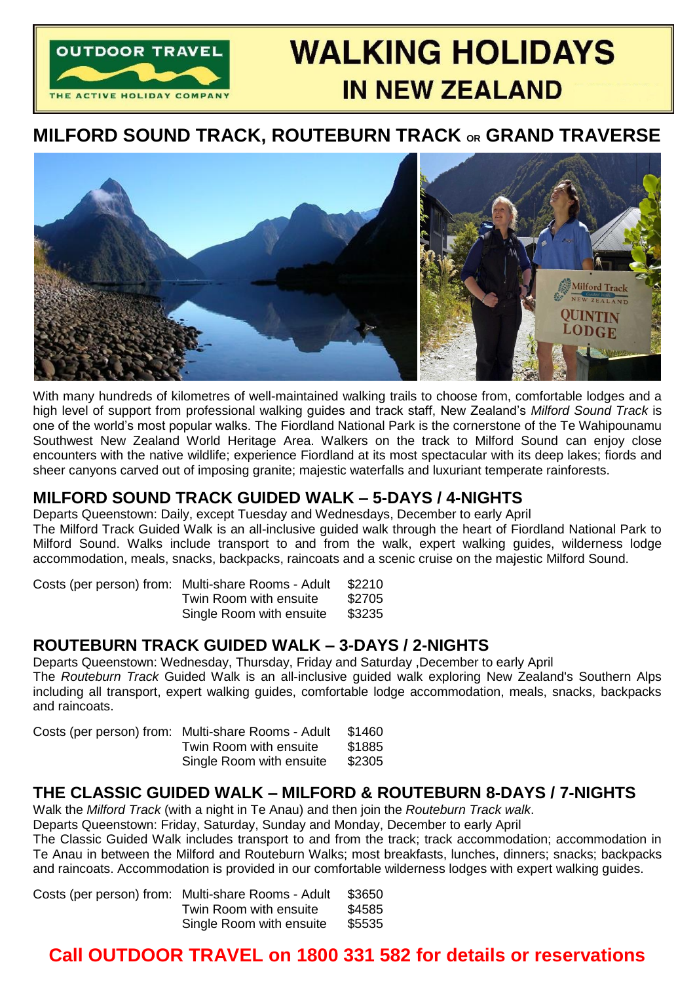

# **WALKING HOLIDAYS IN NEW ZEALAND**

## **MILFORD SOUND TRACK, ROUTEBURN TRACK OR GRAND TRAVERSE**



With many hundreds of kilometres of well-maintained walking trails to choose from, comfortable lodges and a high level of support from professional walking guides and track staff, New Zealand's *Milford Sound Track* is one of the world's most popular walks. The Fiordland National Park is the cornerstone of the Te Wahipounamu Southwest New Zealand World Heritage Area. Walkers on the track to Milford Sound can enjoy close encounters with the native wildlife; experience Fiordland at its most spectacular with its deep lakes; fiords and sheer canyons carved out of imposing granite; majestic waterfalls and luxuriant temperate rainforests.

## **MILFORD SOUND TRACK GUIDED WALK – 5-DAYS / 4-NIGHTS**

Departs Queenstown: Daily, except Tuesday and Wednesdays, December to early April The Milford Track Guided Walk is an all-inclusive guided walk through the heart of Fiordland National Park to Milford Sound. Walks include transport to and from the walk, expert walking guides, wilderness lodge accommodation, meals, snacks, backpacks, raincoats and a scenic cruise on the majestic Milford Sound.

| Costs (per person) from: Multi-share Rooms - Adult | \$2210 |
|----------------------------------------------------|--------|
| Twin Room with ensuite                             | \$2705 |
| Single Room with ensuite                           | \$3235 |

## **ROUTEBURN TRACK GUIDED WALK – 3-DAYS / 2-NIGHTS**

Departs Queenstown: Wednesday, Thursday, Friday and Saturday ,December to early April The *Routeburn Track* Guided Walk is an all-inclusive guided walk exploring New Zealand's Southern Alps including all transport, expert walking guides, comfortable lodge accommodation, meals, snacks, backpacks and raincoats.

| Costs (per person) from: Multi-share Rooms - Adult | \$1460 |
|----------------------------------------------------|--------|
| Twin Room with ensuite                             | \$1885 |
| Single Room with ensuite                           | \$2305 |

## **THE CLASSIC GUIDED WALK – MILFORD & ROUTEBURN 8-DAYS / 7-NIGHTS**

Walk the *Milford Track* (with a night in Te Anau) and then join the *Routeburn Track walk*.

Departs Queenstown: Friday, Saturday, Sunday and Monday, December to early April

The Classic Guided Walk includes transport to and from the track; track accommodation; accommodation in Te Anau in between the Milford and Routeburn Walks; most breakfasts, lunches, dinners; snacks; backpacks and raincoats. Accommodation is provided in our comfortable wilderness lodges with expert walking guides.

| Costs (per person) from: Multi-share Rooms - Adult | \$3650 |
|----------------------------------------------------|--------|
| Twin Room with ensuite                             | \$4585 |
| Single Room with ensuite                           | \$5535 |

# **Call OUTDOOR TRAVEL on 1800 331 582 for details or reservations**